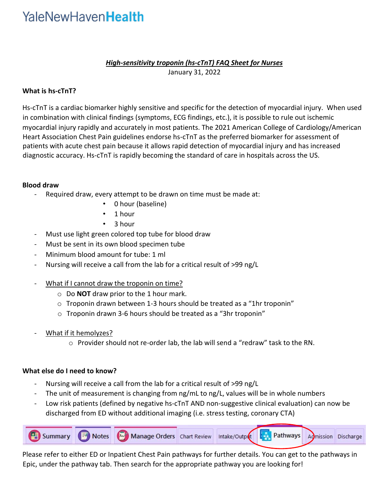# YaleNewHaven**Health**

## *High-sensitivity troponin (hs-cTnT) FAQ Sheet for Nurses* January 31, 2022

## **What is hs-cTnT?**

Hs-cTnT is a cardiac biomarker highly sensitive and specific for the detection of myocardial injury. When used in combination with clinical findings (symptoms, ECG findings, etc.), it is possible to rule out ischemic myocardial injury rapidly and accurately in most patients. The 2021 American College of Cardiology/American Heart Association Chest Pain guidelines endorse hs-cTnT as the preferred biomarker for assessment of patients with acute chest pain because it allows rapid detection of myocardial injury and has increased diagnostic accuracy. Hs-cTnT is rapidly becoming the standard of care in hospitals across the US.

#### **Blood draw**

- Required draw, every attempt to be drawn on time must be made at:
	- 0 hour (baseline)
	- 1 hour
	- 3 hour
- Must use light green colored top tube for blood draw
- Must be sent in its own blood specimen tube
- Minimum blood amount for tube: 1 ml
- Nursing will receive a call from the lab for a critical result of >99 ng/L
- What if I cannot draw the troponin on time?
	- o Do **NOT** draw prior to the 1 hour mark.
	- o Troponin drawn between 1-3 hours should be treated as a "1hr troponin"
	- o Troponin drawn 3-6 hours should be treated as a "3hr troponin"
- What if it hemolyzes?
	- o Provider should not re-order lab, the lab will send a "redraw" task to the RN.

### **What else do I need to know?**

- Nursing will receive a call from the lab for a critical result of >99 ng/L
- The unit of measurement is changing from ng/mL to ng/L, values will be in whole numbers
- Low risk patients (defined by negative hs-cTnT AND non-suggestive clinical evaluation) can now be discharged from ED without additional imaging (i.e. stress testing, coronary CTA)



Please refer to either ED or Inpatient Chest Pain pathways for further details. You can get to the pathways in Epic, under the pathway tab. Then search for the appropriate pathway you are looking for!